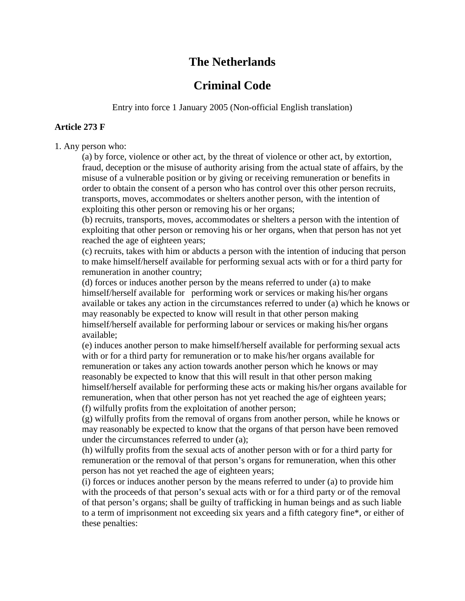## **The Netherlands**

## **Criminal Code**

Entry into force 1 January 2005 (Non-official English translation)

## **Article 273 F**

1. Any person who:

(a) by force, violence or other act, by the threat of violence or other act, by extortion, fraud, deception or the misuse of authority arising from the actual state of affairs, by the misuse of a vulnerable position or by giving or receiving remuneration or benefits in order to obtain the consent of a person who has control over this other person recruits, transports, moves, accommodates or shelters another person, with the intention of exploiting this other person or removing his or her organs;

(b) recruits, transports, moves, accommodates or shelters a person with the intention of exploiting that other person or removing his or her organs, when that person has not yet reached the age of eighteen years;

(c) recruits, takes with him or abducts a person with the intention of inducing that person to make himself/herself available for performing sexual acts with or for a third party for remuneration in another country;

(d) forces or induces another person by the means referred to under (a) to make himself/herself available for performing work or services or making his/her organs available or takes any action in the circumstances referred to under (a) which he knows or may reasonably be expected to know will result in that other person making himself/herself available for performing labour or services or making his/her organs available;

(e) induces another person to make himself/herself available for performing sexual acts with or for a third party for remuneration or to make his/her organs available for remuneration or takes any action towards another person which he knows or may reasonably be expected to know that this will result in that other person making himself/herself available for performing these acts or making his/her organs available for remuneration, when that other person has not yet reached the age of eighteen years; (f) wilfully profits from the exploitation of another person;

(g) wilfully profits from the removal of organs from another person, while he knows or may reasonably be expected to know that the organs of that person have been removed under the circumstances referred to under (a);

(h) wilfully profits from the sexual acts of another person with or for a third party for remuneration or the removal of that person's organs for remuneration, when this other person has not yet reached the age of eighteen years;

(i) forces or induces another person by the means referred to under (a) to provide him with the proceeds of that person's sexual acts with or for a third party or of the removal of that person's organs; shall be guilty of trafficking in human beings and as such liable to a term of imprisonment not exceeding six years and a fifth category fine\*, or either of these penalties: